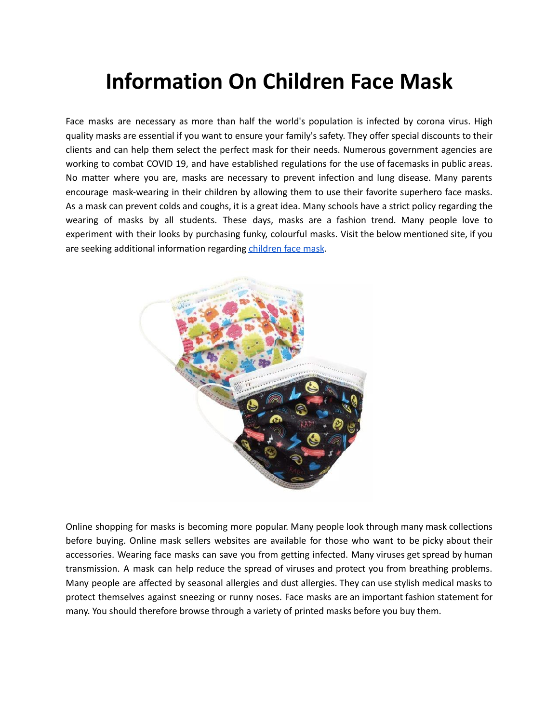## **Information On Children Face Mask**

Face masks are necessary as more than half the world's population is infected by corona virus. High quality masks are essential if you want to ensure your family's safety. They offer special discounts to their clients and can help them select the perfect mask for their needs. Numerous government agencies are working to combat COVID 19, and have established regulations for the use of facemasks in public areas. No matter where you are, masks are necessary to prevent infection and lung disease. Many parents encourage mask-wearing in their children by allowing them to use their favorite superhero face masks. As a mask can prevent colds and coughs, it is a great idea. Many schools have a strict policy regarding the wearing of masks by all students. These days, masks are a fashion trend. Many people love to experiment with their looks by purchasing funky, colourful masks. Visit the below mentioned site, if you are seeking additional information regarding [children](https://facemask.international/collections/children-face-mask) face mask.



Online shopping for masks is becoming more popular. Many people look through many mask collections before buying. Online mask sellers websites are available for those who want to be picky about their accessories. Wearing face masks can save you from getting infected. Many viruses get spread by human transmission. A mask can help reduce the spread of viruses and protect you from breathing problems. Many people are affected by seasonal allergies and dust allergies. They can use stylish medical masks to protect themselves against sneezing or runny noses. Face masks are an important fashion statement for many. You should therefore browse through a variety of printed masks before you buy them.